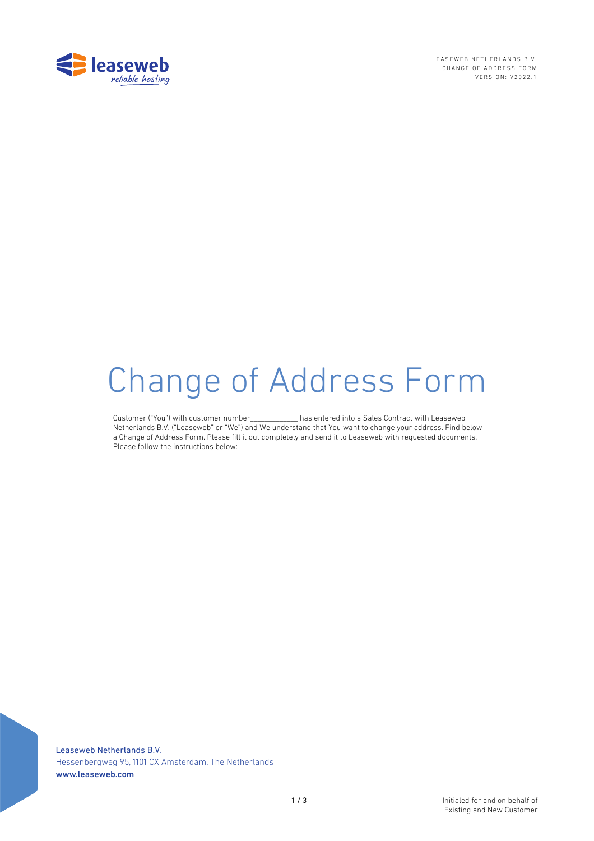

LEASEWEB NETHERLANDS B.V. CHANGE OF ADDRESS FORM VERSION: V2022.1

# **Change of Address Form**

Customer ("You") with customer number has entered into a Sales Contract with Leaseweb Netherlands B.V. ("Leaseweb" or "We") and We understand that You want to change your address. Find below a Change of Address Form. Please fill it out completely and send it to Leaseweb with requested documents. Please follow the instructions below:

Leaseweb Netherlands B.V. Hessenbergweg 95, 1101 CX Amsterdam, The Netherlands www.leaseweb.com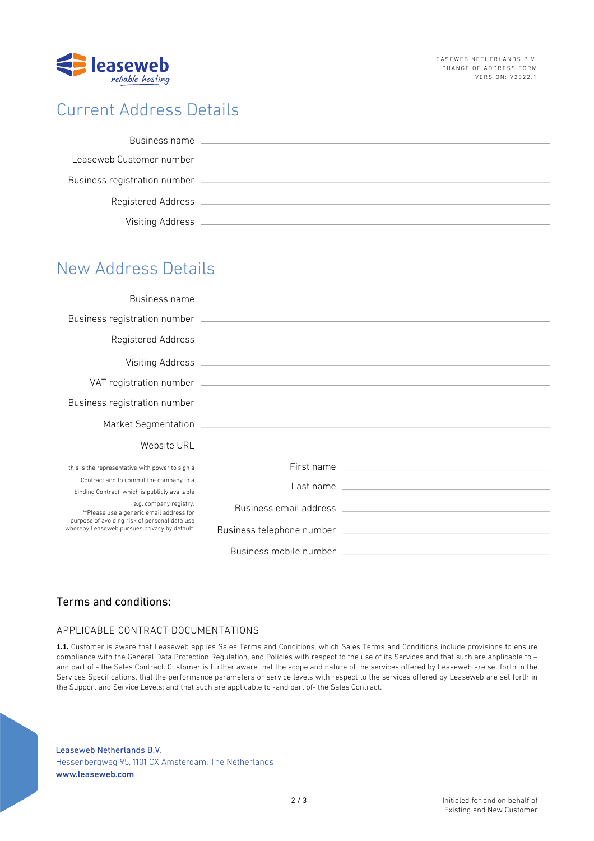

# Current Address Details

| Business name                |  |
|------------------------------|--|
| Leaseweb Customer number     |  |
| Business registration number |  |
| Registered Address           |  |
| Visiting Address             |  |

# New Address Details

| this is the representative with power to sign a                                                                                                                     | First name and the state of the state of the state of the state of the state of the state of the state of the                                                                                                                        |
|---------------------------------------------------------------------------------------------------------------------------------------------------------------------|--------------------------------------------------------------------------------------------------------------------------------------------------------------------------------------------------------------------------------------|
| Contract and to commit the company to a<br>binding Contract, which is publicly available                                                                            | Last name <u>experience and the series of the series of the series of the series of the series of the series of the series of the series of the series of the series of the series of the series of the series of the series of </u> |
| e.g. company registry.<br>**Please use a generic email address for<br>purpose of avoiding risk of personal data use<br>whereby Leaseweb pursues privacy by default. |                                                                                                                                                                                                                                      |
|                                                                                                                                                                     |                                                                                                                                                                                                                                      |
|                                                                                                                                                                     |                                                                                                                                                                                                                                      |

## Terms and conditions:

## APPLICABLE CONTRACT DOCUMENTATIONS

**1.1.** Customer is aware that Leaseweb applies Sales Terms and Conditions, which Sales Terms and Conditions include provisions to ensure compliance with the General Data Protection Regulation, and Policies with respect to the use of its Services and that such are applicable to – and part of - the Sales Contract. Customer is further aware that the scope and nature of the services offered by Leaseweb are set forth in the Services Specifications, that the performance parameters or service levels with respect to the services offered by Leaseweb are set forth in the Support and Service Levels; and that such are applicable to -and part of- the Sales Contract.

Leaseweb Netherlands B.V. Hessenbergweg 95, 1101 CX Amsterdam, The Netherlands www.leaseweb.com